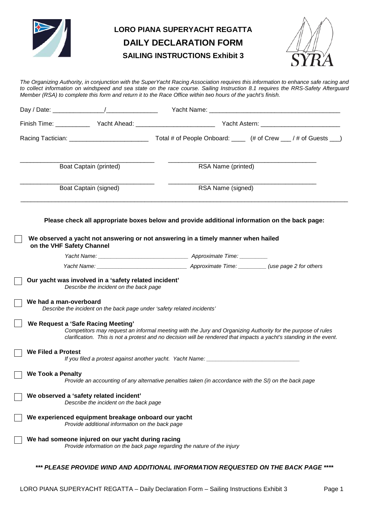

# **LORO PIANA SUPERYACHT REGATTA DAILY DECLARATION FORM SAILING INSTRUCTIONS Exhibit 3**



*The Organizing Authority, in conjunction with the SuperYacht Racing Association requires this information to enhance safe racing and to collect information on windspeed and sea state on the race course. Sailing Instruction 8.1 requires the RRS-Safety Afterguard Member (RSA) to complete this form and return it to the Race Office within two hours of the yacht's finish.*

|                                                 |                                                                                                               | Finish Time: _________________Yacht Ahead: ________________________________Yacht Astern: _____________________                                                                                                                     |  |
|-------------------------------------------------|---------------------------------------------------------------------------------------------------------------|------------------------------------------------------------------------------------------------------------------------------------------------------------------------------------------------------------------------------------|--|
|                                                 |                                                                                                               |                                                                                                                                                                                                                                    |  |
| Boat Captain (printed)<br>Boat Captain (signed) |                                                                                                               | RSA Name (printed)<br>RSA Name (signed)                                                                                                                                                                                            |  |
|                                                 |                                                                                                               |                                                                                                                                                                                                                                    |  |
| on the VHF Safety Channel                       |                                                                                                               | We observed a yacht not answering or not answering in a timely manner when hailed                                                                                                                                                  |  |
|                                                 |                                                                                                               |                                                                                                                                                                                                                                    |  |
|                                                 |                                                                                                               |                                                                                                                                                                                                                                    |  |
| We had a man-overboard                          | Describe the incident on the back page under 'safety related incidents'<br>We Request a 'Safe Racing Meeting' | Competitors may request an informal meeting with the Jury and Organizing Authority for the purpose of rules<br>clarification. This is not a protest and no decision will be rendered that impacts a yacht's standing in the event. |  |
| We Filed a Protest                              |                                                                                                               | If you filed a protest against another yacht. Yacht Name: _______________________                                                                                                                                                  |  |
| <b>We Took a Penalty</b>                        |                                                                                                               | Provide an accounting of any alternative penalties taken (in accordance with the SI) on the back page                                                                                                                              |  |
|                                                 | We observed a 'safety related incident'<br>Describe the incident on the back page                             |                                                                                                                                                                                                                                    |  |
|                                                 | We experienced equipment breakage onboard our yacht<br>Provide additional information on the back page        |                                                                                                                                                                                                                                    |  |
|                                                 | We had someone injured on our yacht during racing                                                             | Provide information on the back page regarding the nature of the injury                                                                                                                                                            |  |
|                                                 |                                                                                                               | *** PLEASE PROVIDE WIND AND ADDITIONAL INFORMATION REQUESTED ON THE BACK PAGE ****                                                                                                                                                 |  |